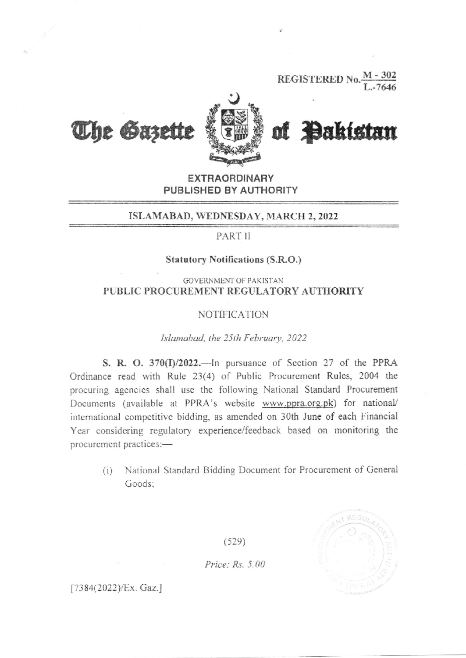**REGISTERED No** 



of Bakistan

**EXTRAORDINARY** PUBLISHED BY AUTHORITY

#### ISLAMABAD, WEDNESDAY, MARCH 2, 2022

PART II

### **Statutory Notifications (S.R.O.)**

**GOVERNMENT OF PAKISTAN** PUBLIC PROCUREMENT REGULATORY AUTHORITY

### **NOTIFICATION**

#### Islamabad, the 25th February, 2022

S. R. O. 370(I)/2022.—In pursuance of Section 27 of the PPRA Ordinance read with Rule 23(4) of Public Procurement Rules, 2004 the procuring agencies shall use the following National Standard Procurement Documents (available at PPRA's website www.ppra.org.pk) for national/ international competitive bidding, as amended on 30th June of each Financial Year considering regulatory experience/feedback based on monitoring the procurement practices:-

National Standard Bidding Document for Procurement of General  $(i)$ Goods:

 $(529)$ 

Price:  $Rs. 5.00$ 



 $[7384(2022)/Ex.$  Gaz.]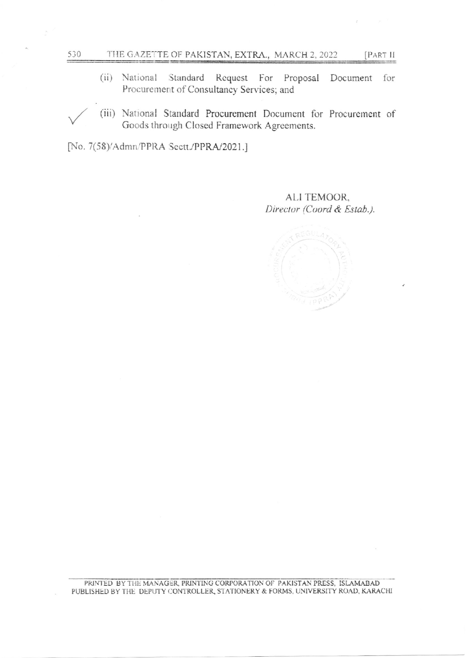- THE GAZETTE OF PAKISTAN, EXTRA., MARCH 2, 2022
- National Standard Request For Proposal  $(ii)$ Document for Procurement of Consultancy Services; and
- (iii) National Standard Procurement Document for Procurement of Goods through Closed Framework Agreements.

[No. 7(58)/Admn/PPRA Sectt./PPRA/2021.]

530

ALI TEMOOR. Director (Coord & Estab.).

[PART II

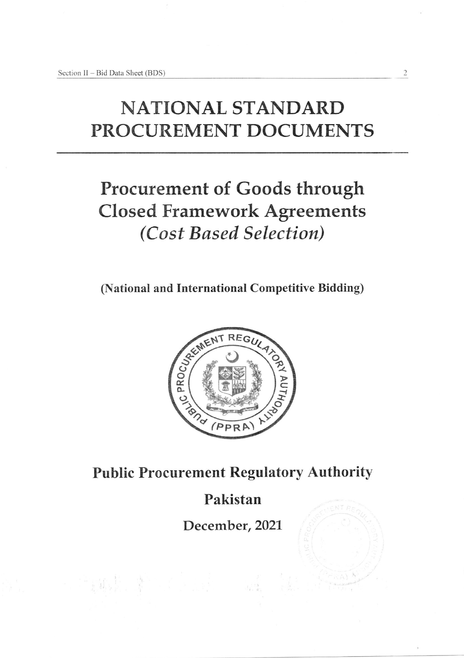# NATIONAL STANDARD PROCUREMENT DOCUMENTS

 $\overline{c}$ 

## Procurement of Goods through Closed Framework Agreements (Cost Based Selection)

(National and International Competitive Bidding)



Public Procurement Regulatory Authority

### Pakistan

December, 2021

"我的是, 第二章 人名